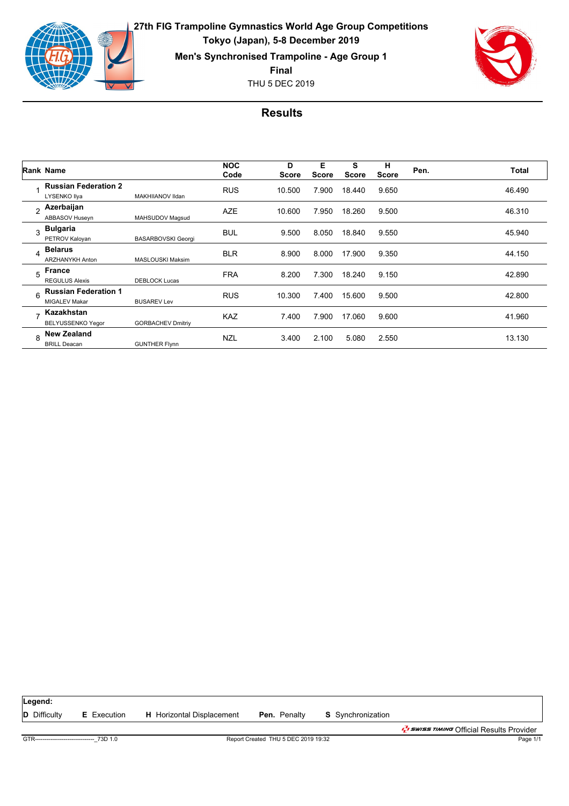

**27th FIG Trampoline Gymnastics World Age Group Competitions Tokyo (Japan), 5-8 December 2019 Men's Synchronised Trampoline - Age Group 1 Final**

THU 5 DEC 2019



|                         | <b>Rank Name</b>                                    |                           | <b>NOC</b><br>Code | D<br><b>Score</b> | Е<br><b>Score</b> | S<br><b>Score</b> | н<br><b>Score</b> | Pen. | <b>Total</b> |
|-------------------------|-----------------------------------------------------|---------------------------|--------------------|-------------------|-------------------|-------------------|-------------------|------|--------------|
|                         | <b>Russian Federation 2</b><br>LYSENKO Ilya         | MAKHIIANOV Ildan          | <b>RUS</b>         | 10.500            | 7.900             | 18.440            | 9.650             |      | 46.490       |
| <sub>2</sub>            | Azerbaijan<br><b>ABBASOV Huseyn</b>                 | MAHSUDOV Magsud           | <b>AZE</b>         | 10.600            | 7.950             | 18.260            | 9.500             |      | 46.310       |
| $\overline{\mathbf{3}}$ | <b>Bulgaria</b><br>PETROV Kaloyan                   | <b>BASARBOVSKI Georgi</b> | <b>BUL</b>         | 9.500             | 8.050             | 18.840            | 9.550             |      | 45.940       |
| Δ                       | <b>Belarus</b><br><b>ARZHANYKH Anton</b>            | <b>MASLOUSKI Maksim</b>   | <b>BLR</b>         | 8.900             | 8.000             | 17.900            | 9.350             |      | 44.150       |
| 5                       | France<br><b>REGULUS Alexis</b>                     | <b>DEBLOCK Lucas</b>      | <b>FRA</b>         | 8.200             | 7.300             | 18.240            | 9.150             |      | 42.890       |
| 6                       | <b>Russian Federation 1</b><br><b>MIGALEV Makar</b> | <b>BUSAREV Lev</b>        | <b>RUS</b>         | 10.300            | 7.400             | 15.600            | 9.500             |      | 42.800       |
| $\rightarrow$           | Kazakhstan<br><b>BELYUSSENKO Yegor</b>              | <b>GORBACHEV Dmitriy</b>  | <b>KAZ</b>         | 7.400             | 7.900             | 17.060            | 9.600             |      | 41.960       |
| 8                       | <b>New Zealand</b><br><b>BRILL Deacan</b>           | <b>GUNTHER Flynn</b>      | <b>NZL</b>         | 3.400             | 2.100             | 5.080             | 2.550             |      | 13.130       |

| Legend:                                      |                    |                                  |                                     |                          |                                                         |
|----------------------------------------------|--------------------|----------------------------------|-------------------------------------|--------------------------|---------------------------------------------------------|
| <b>D</b> Difficulty                          | <b>E</b> Execution | <b>H</b> Horizontal Displacement | <b>Pen.</b> Penalty                 | <b>S</b> Synchronization |                                                         |
|                                              |                    |                                  |                                     |                          | בשות <i>לי Swiss דואוואיד Official Results Provider</i> |
| GTR--------------------------------- 73D 1.0 |                    |                                  | Report Created THU 5 DEC 2019 19:32 |                          | Page 1/1                                                |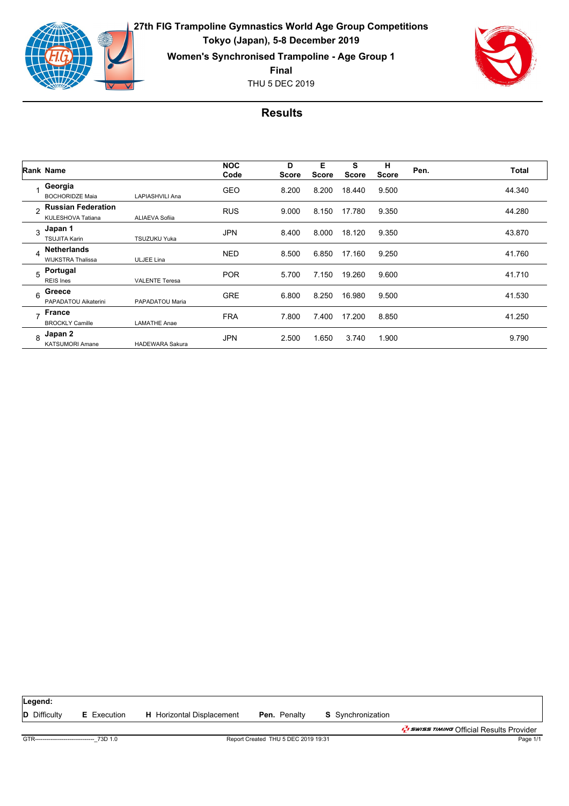

**27th FIG Trampoline Gymnastics World Age Group Competitions Tokyo (Japan), 5-8 December 2019 Women's Synchronised Trampoline - Age Group 1**

**Final**

THU 5 DEC 2019



|                       | <b>Rank Name</b>                               |                        | <b>NOC</b><br>Code | D<br>Score | Е<br><b>Score</b> | s<br><b>Score</b> | н<br><b>Score</b> | Pen. | Total  |
|-----------------------|------------------------------------------------|------------------------|--------------------|------------|-------------------|-------------------|-------------------|------|--------|
|                       | Georgia<br><b>BOCHORIDZE Maia</b>              | LAPIASHVILI Ana        | <b>GEO</b>         | 8.200      | 8.200             | 18.440            | 9.500             |      | 44.340 |
| $\mathfrak{D}$        | <b>Russian Federation</b><br>KULESHOVA Tatiana | <b>ALIAEVA Sofiia</b>  | <b>RUS</b>         | 9.000      | 8.150             | 17.780            | 9.350             |      | 44.280 |
| 3                     | Japan 1<br><b>TSUJITA Karin</b>                | TSUZUKU Yuka           | <b>JPN</b>         | 8.400      | 8.000             | 18.120            | 9.350             |      | 43.870 |
| $\boldsymbol{\Delta}$ | <b>Netherlands</b><br><b>WIJKSTRA Thalissa</b> | ULJEE Lina             | <b>NED</b>         | 8.500      | 6.850             | 17.160            | 9.250             |      | 41.760 |
| 5                     | Portugal<br><b>REIS</b> Ines                   | <b>VALENTE Teresa</b>  | <b>POR</b>         | 5.700      | 7.150             | 19.260            | 9.600             |      | 41.710 |
| 6                     | Greece<br>PAPADATOU Aikaterini                 | PAPADATOU Maria        | <b>GRE</b>         | 6.800      | 8.250             | 16.980            | 9.500             |      | 41.530 |
| $\overline{ }$        | <b>France</b><br><b>BROCKLY Camille</b>        | <b>LAMATHE Anae</b>    | <b>FRA</b>         | 7.800      | 7.400             | 17.200            | 8.850             |      | 41.250 |
| R                     | Japan 2<br><b>KATSUMORI Amane</b>              | <b>HADEWARA Sakura</b> | <b>JPN</b>         | 2.500      | 1.650             | 3.740             | 1.900             |      | 9.790  |

| Legend:             |                                            |                                  |                                     |                          |                                                           |
|---------------------|--------------------------------------------|----------------------------------|-------------------------------------|--------------------------|-----------------------------------------------------------|
| <b>D</b> Difficulty | <b>E</b> Execution                         | <b>H</b> Horizontal Displacement | <b>Pen.</b> Penalty                 | <b>S</b> Synchronization |                                                           |
|                     |                                            |                                  |                                     |                          | בשות <i>בלי ב-swiss דוואות O</i> fficial Results Provider |
|                     | GTR------------------------------- 73D 1.0 |                                  | Report Created THU 5 DEC 2019 19:31 |                          | Page 1/1                                                  |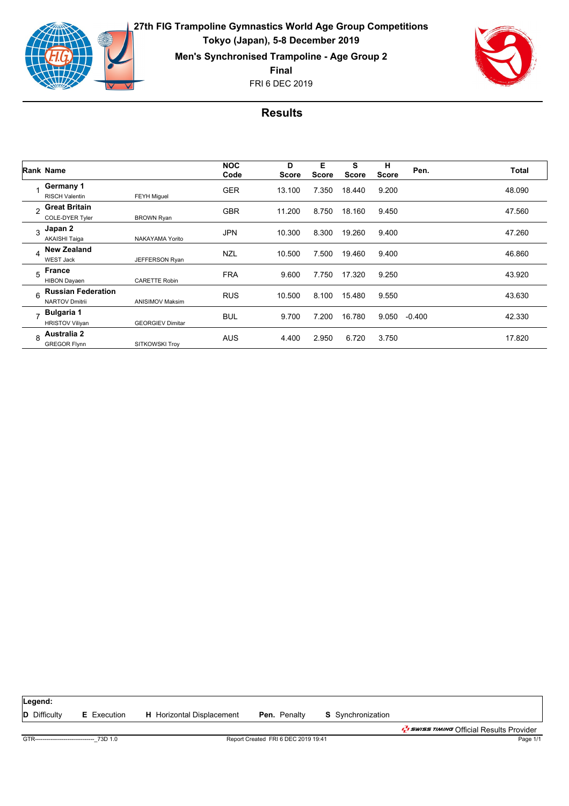

FRI 6 DEC 2019 **27th FIG Trampoline Gymnastics World Age Group Competitions Tokyo (Japan), 5-8 December 2019 Men's Synchronised Trampoline - Age Group 2 Final**



|        | Rank Name                                          |                         | <b>NOC</b><br>Code | D<br><b>Score</b> | Е<br><b>Score</b> | s<br>Score | н<br><b>Score</b> | Pen.     | <b>Total</b> |
|--------|----------------------------------------------------|-------------------------|--------------------|-------------------|-------------------|------------|-------------------|----------|--------------|
|        | Germany 1<br><b>RISCH Valentin</b>                 | <b>FEYH Miguel</b>      | <b>GER</b>         | 13.100            | 7.350             | 18.440     | 9.200             |          | 48.090       |
| $\sim$ | <b>Great Britain</b><br>COLE-DYER Tyler            | <b>BROWN Ryan</b>       | <b>GBR</b>         | 11.200            | 8.750             | 18.160     | 9.450             |          | 47.560       |
| 3      | Japan 2<br><b>AKAISHI Taiga</b>                    | NAKAYAMA Yorito         | <b>JPN</b>         | 10.300            | 8.300             | 19.260     | 9.400             |          | 47.260       |
| Δ      | <b>New Zealand</b><br><b>WEST Jack</b>             | JEFFERSON Ryan          | <b>NZL</b>         | 10.500            | 7.500             | 19.460     | 9.400             |          | 46.860       |
| 5      | France<br><b>HIBON Dayaen</b>                      | <b>CARETTE Robin</b>    | <b>FRA</b>         | 9.600             | 7.750             | 17.320     | 9.250             |          | 43.920       |
| 6      | <b>Russian Federation</b><br><b>NARTOV Dmitrii</b> | <b>ANISIMOV Maksim</b>  | <b>RUS</b>         | 10.500            | 8.100             | 15.480     | 9.550             |          | 43.630       |
| ۳      | Bulgaria 1<br><b>HRISTOV Viliyan</b>               | <b>GEORGIEV Dimitar</b> | <b>BUL</b>         | 9.700             | 7.200             | 16.780     | 9.050             | $-0.400$ | 42.330       |
| 8      | Australia 2<br><b>GREGOR Flynn</b>                 | SITKOWSKI Troy          | <b>AUS</b>         | 4.400             | 2.950             | 6.720      | 3.750             |          | 17.820       |

| Legend:                                     |                    |                                  |                                     |                          |                                                            |
|---------------------------------------------|--------------------|----------------------------------|-------------------------------------|--------------------------|------------------------------------------------------------|
| <b>D</b> Difficulty                         | <b>E</b> Execution | <b>H</b> Horizontal Displacement | <b>Pen.</b> Penalty                 | <b>S</b> Synchronization |                                                            |
|                                             |                    |                                  |                                     |                          | <sup>2</sup> <i>swiss TIMING</i> Official Results Provider |
| GTR-------------------------------- 73D 1.0 |                    |                                  | Report Created FRI 6 DEC 2019 19:41 |                          | Page 1/1                                                   |
|                                             |                    |                                  |                                     |                          |                                                            |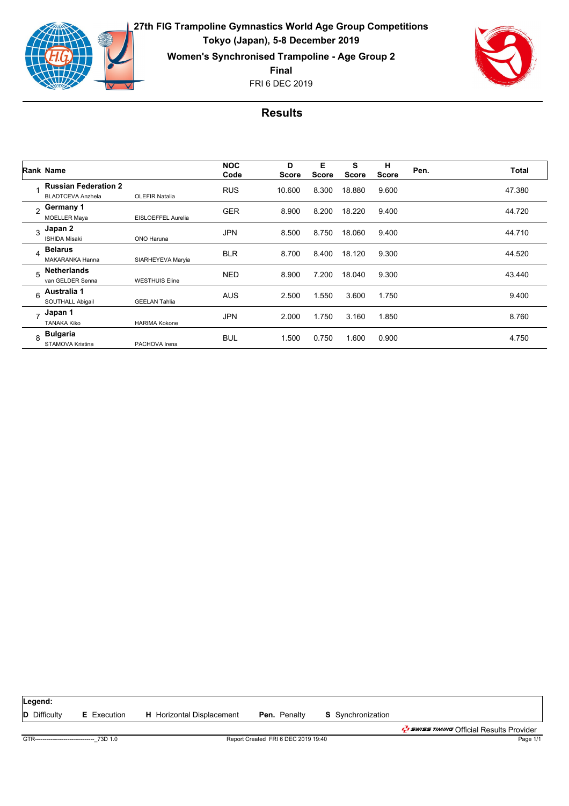

FRI 6 DEC 2019 **27th FIG Trampoline Gymnastics World Age Group Competitions Tokyo (Japan), 5-8 December 2019 Women's Synchronised Trampoline - Age Group 2 Final**



|                | Rank Name                                               |                       | <b>NOC</b><br>Code | D<br><b>Score</b> | Е<br><b>Score</b> | s<br><b>Score</b> | н<br><b>Score</b> | Pen. | Total  |
|----------------|---------------------------------------------------------|-----------------------|--------------------|-------------------|-------------------|-------------------|-------------------|------|--------|
|                | <b>Russian Federation 2</b><br><b>BLADTCEVA Anzhela</b> | <b>OLEFIR Natalia</b> | <b>RUS</b>         | 10.600            | 8.300             | 18.880            | 9.600             |      | 47.380 |
| $\mathcal{L}$  | Germany 1<br><b>MOELLER Maya</b>                        | EISLOEFFEL Aurelia    | <b>GER</b>         | 8.900             | 8.200             | 18.220            | 9.400             |      | 44.720 |
| 3              | Japan 2<br><b>ISHIDA Misaki</b>                         | ONO Haruna            | <b>JPN</b>         | 8.500             | 8.750             | 18.060            | 9.400             |      | 44.710 |
| 4              | <b>Belarus</b><br><b>MAKARANKA Hanna</b>                | SIARHEYEVA Maryia     | <b>BLR</b>         | 8.700             | 8.400             | 18.120            | 9.300             |      | 44.520 |
| 5              | <b>Netherlands</b><br>van GELDER Senna                  | <b>WESTHUIS Eline</b> | <b>NED</b>         | 8.900             | 7.200             | 18.040            | 9.300             |      | 43.440 |
| 6              | Australia 1<br>SOUTHALL Abigail                         | <b>GEELAN Tahlia</b>  | <b>AUS</b>         | 2.500             | 1.550             | 3.600             | 1.750             |      | 9.400  |
| $\overline{ }$ | Japan 1<br><b>TANAKA Kiko</b>                           | <b>HARIMA Kokone</b>  | <b>JPN</b>         | 2.000             | 1.750             | 3.160             | 1.850             |      | 8.760  |
| 8              | <b>Bulgaria</b><br>STAMOVA Kristina                     | PACHOVA Irena         | <b>BUL</b>         | 1.500             | 0.750             | 1.600             | 0.900             |      | 4.750  |

| Legend:             |                                             |                                  |                                     |                          |                                                                          |
|---------------------|---------------------------------------------|----------------------------------|-------------------------------------|--------------------------|--------------------------------------------------------------------------|
| <b>D</b> Difficulty | <b>E</b> Execution                          | <b>H</b> Horizontal Displacement | <b>Pen.</b> Penalty                 | <b>S</b> Synchronization |                                                                          |
|                     |                                             |                                  |                                     |                          | ב <i>ל באוואד ב<sup>ד</sup>י Swiss דוואות O</i> fficial Results Provider |
|                     | GTR-------------------------------- 73D 1.0 |                                  | Report Created FRI 6 DEC 2019 19:40 |                          | Page 1/1                                                                 |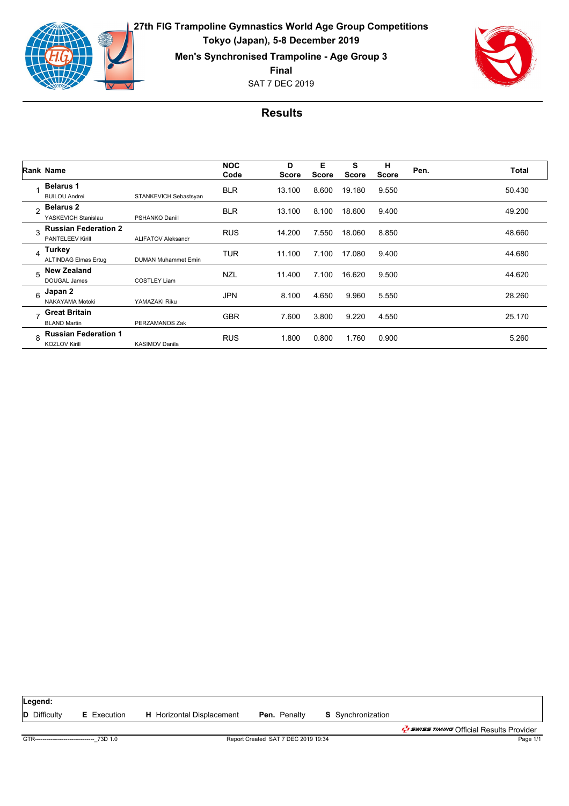

**27th FIG Trampoline Gymnastics World Age Group Competitions Tokyo (Japan), 5-8 December 2019 Men's Synchronised Trampoline - Age Group 3 Final**





|                         | <b>Rank Name</b>                                       |                            | <b>NOC</b><br>Code | D<br><b>Score</b> | Е<br><b>Score</b> | s<br><b>Score</b> | н<br><b>Score</b> | Pen. | <b>Total</b> |
|-------------------------|--------------------------------------------------------|----------------------------|--------------------|-------------------|-------------------|-------------------|-------------------|------|--------------|
|                         | <b>Belarus 1</b><br><b>BUILOU Andrei</b>               | STANKEVICH Sebastsyan      | <b>BLR</b>         | 13.100            | 8.600             | 19.180            | 9.550             |      | 50.430       |
| $\mathfrak{p}$          | <b>Belarus 2</b><br>YASKEVICH Stanislau                | <b>PSHANKO Daniil</b>      | <b>BLR</b>         | 13.100            | 8.100             | 18.600            | 9.400             |      | 49.200       |
| $\overline{\mathbf{3}}$ | <b>Russian Federation 2</b><br><b>PANTELEEV Kirill</b> | <b>ALIFATOV Aleksandr</b>  | <b>RUS</b>         | 14.200            | 7.550             | 18.060            | 8.850             |      | 48.660       |
| $\Delta$                | Turkey<br><b>ALTINDAG Elmas Ertug</b>                  | <b>DUMAN Muhammet Emin</b> | <b>TUR</b>         | 11.100            | 7.100             | 17.080            | 9.400             |      | 44.680       |
| 5                       | <b>New Zealand</b><br><b>DOUGAL James</b>              | <b>COSTLEY Liam</b>        | <b>NZL</b>         | 11.400            | 7.100             | 16.620            | 9.500             |      | 44.620       |
| 6                       | Japan 2<br>NAKAYAMA Motoki                             | YAMAZAKI Riku              | <b>JPN</b>         | 8.100             | 4.650             | 9.960             | 5.550             |      | 28.260       |
| $\rightarrow$           | <b>Great Britain</b><br><b>BLAND Martin</b>            | PERZAMANOS Zak             | <b>GBR</b>         | 7.600             | 3.800             | 9.220             | 4.550             |      | 25.170       |
| R                       | <b>Russian Federation 1</b><br><b>KOZLOV Kirill</b>    | <b>KASIMOV Danila</b>      | <b>RUS</b>         | 1.800             | 0.800             | 1.760             | 0.900             |      | 5.260        |

| Legend:                                     |                    |                                  |                                     |                          |                                                    |
|---------------------------------------------|--------------------|----------------------------------|-------------------------------------|--------------------------|----------------------------------------------------|
| <b>D</b> Difficulty                         | <b>E</b> Execution | <b>H</b> Horizontal Displacement | <b>Pen.</b> Penalty                 | <b>S</b> Synchronization |                                                    |
|                                             |                    |                                  |                                     |                          | ב <i>ל באווחיד בל</i> א <i>בלי ביווחיד בבואותי</i> |
| GTR-------------------------------- 73D 1.0 |                    |                                  | Report Created SAT 7 DEC 2019 19:34 |                          | Page 1/1                                           |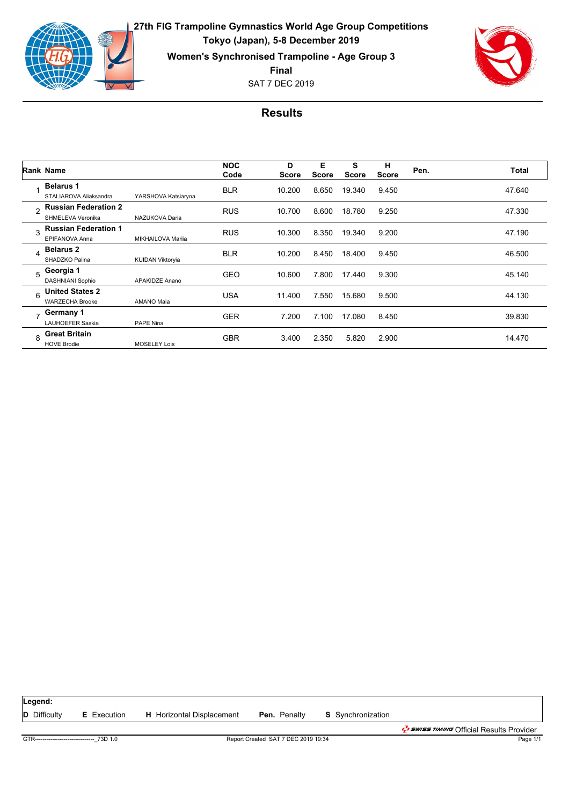

**27th FIG Trampoline Gymnastics World Age Group Competitions Tokyo (Japan), 5-8 December 2019 Women's Synchronised Trampoline - Age Group 3 Final**

SAT 7 DEC 2019



|                | Rank Name                                        |                         | <b>NOC</b><br>Code | D<br>Score | Е<br><b>Score</b> | s<br><b>Score</b> | н<br><b>Score</b> | Pen. | Total  |
|----------------|--------------------------------------------------|-------------------------|--------------------|------------|-------------------|-------------------|-------------------|------|--------|
|                | <b>Belarus 1</b><br>STALIAROVA Aliaksandra       | YARSHOVA Katsiaryna     | <b>BLR</b>         | 10.200     | 8.650             | 19.340            | 9.450             |      | 47.640 |
| $\mathfrak{p}$ | <b>Russian Federation 2</b><br>SHMELEVA Veronika | NAZUKOVA Daria          | <b>RUS</b>         | 10.700     | 8.600             | 18.780            | 9.250             |      | 47.330 |
| $\overline{3}$ | <b>Russian Federation 1</b><br>EPIFANOVA Anna    | MIKHAILOVA Mariia       | <b>RUS</b>         | 10.300     | 8.350             | 19.340            | 9.200             |      | 47.190 |
| Δ              | <b>Belarus 2</b><br>SHADZKO Palina               | <b>KUIDAN Viktoryia</b> | <b>BLR</b>         | 10.200     | 8.450             | 18.400            | 9.450             |      | 46.500 |
|                | $_5$ Georgia 1<br><b>DASHNIANI Sophio</b>        | <b>APAKIDZE Anano</b>   | <b>GEO</b>         | 10.600     | 7.800             | 17.440            | 9.300             |      | 45.140 |
| 6              | <b>United States 2</b><br><b>WARZECHA Brooke</b> | <b>AMANO Maia</b>       | <b>USA</b>         | 11.400     | 7.550             | 15.680            | 9.500             |      | 44.130 |
| $\overline{ }$ | Germany 1<br><b>LAUHOEFER Saskia</b>             | <b>PAPE Nina</b>        | <b>GER</b>         | 7.200      | 7.100             | 17.080            | 8.450             |      | 39.830 |
| 8              | <b>Great Britain</b><br><b>HOVE Brodie</b>       | <b>MOSELEY Lois</b>     | <b>GBR</b>         | 3.400      | 2.350             | 5.820             | 2.900             |      | 14.470 |

| Legend:                                    |                    |                                  |                                     |                          |                                                              |
|--------------------------------------------|--------------------|----------------------------------|-------------------------------------|--------------------------|--------------------------------------------------------------|
| <b>D</b> Difficulty                        | <b>E</b> Execution | <b>H</b> Horizontal Displacement | <b>Pen.</b> Penalty                 | <b>S</b> Synchronization |                                                              |
|                                            |                    |                                  |                                     |                          | <i>- <sup>1</sup> ≤wiss ™iming</i> Official Results Provider |
| GTR------------------------------- 73D 1.0 |                    |                                  | Report Created SAT 7 DEC 2019 19:34 |                          | Page 1/1                                                     |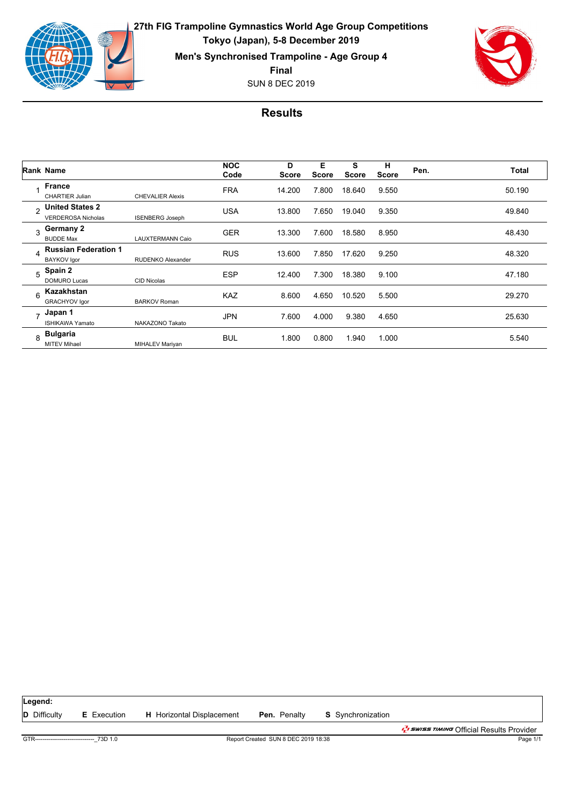

SUN 8 DEC 2019 **27th FIG Trampoline Gymnastics World Age Group Competitions Tokyo (Japan), 5-8 December 2019 Men's Synchronised Trampoline - Age Group 4 Final**



|              | <b>Rank Name</b>                                    |                          | <b>NOC</b><br>Code | D<br><b>Score</b> | Е<br><b>Score</b> | s<br><b>Score</b> | н<br><b>Score</b> | Pen. | Total  |
|--------------|-----------------------------------------------------|--------------------------|--------------------|-------------------|-------------------|-------------------|-------------------|------|--------|
|              | <b>France</b><br><b>CHARTIER Julian</b>             | <b>CHEVALIER Alexis</b>  | <b>FRA</b>         | 14.200            | 7.800             | 18.640            | 9.550             |      | 50.190 |
| C            | <b>United States 2</b><br><b>VERDEROSA Nicholas</b> | <b>ISENBERG Joseph</b>   | <b>USA</b>         | 13.800            | 7.650             | 19.040            | 9.350             |      | 49.840 |
| $\mathbf{R}$ | Germany 2<br><b>BUDDE Max</b>                       | <b>LAUXTERMANN Caio</b>  | <b>GER</b>         | 13.300            | 7.600             | 18.580            | 8.950             |      | 48.430 |
| 4            | <b>Russian Federation 1</b><br><b>BAYKOV</b> Igor   | <b>RUDENKO Alexander</b> | <b>RUS</b>         | 13.600            | 7.850             | 17.620            | 9.250             |      | 48.320 |
| 5            | Spain 2<br><b>DOMURO Lucas</b>                      | <b>CID Nicolas</b>       | <b>ESP</b>         | 12.400            | 7.300             | 18.380            | 9.100             |      | 47.180 |
| 6            | Kazakhstan<br>GRACHYOV Igor                         | <b>BARKOV Roman</b>      | <b>KAZ</b>         | 8.600             | 4.650             | 10.520            | 5.500             |      | 29.270 |
| -            | Japan 1<br><b>ISHIKAWA Yamato</b>                   | NAKAZONO Takato          | <b>JPN</b>         | 7.600             | 4.000             | 9.380             | 4.650             |      | 25.630 |
| 8            | <b>Bulgaria</b><br><b>MITEV Mihael</b>              | MIHALEV Mariyan          | <b>BUL</b>         | 1.800             | 0.800             | 1.940             | 1.000             |      | 5.540  |